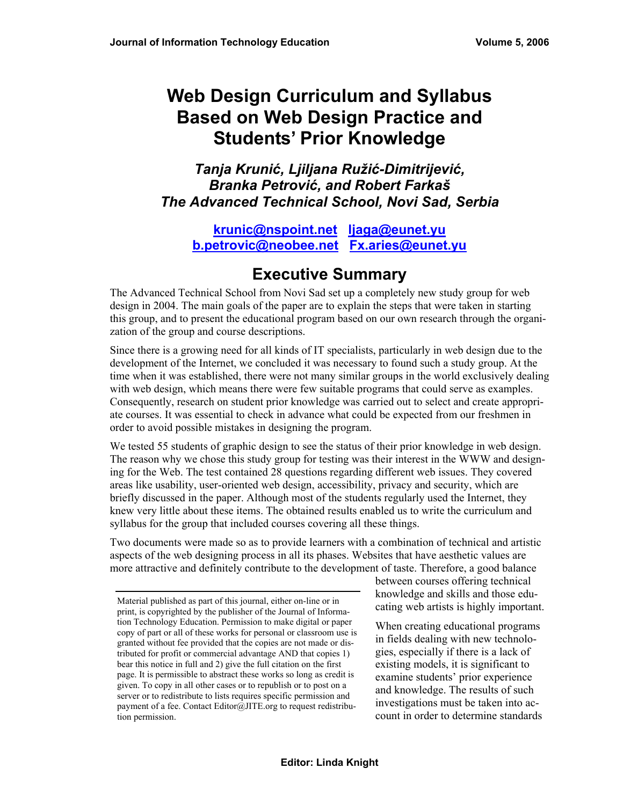# **Web Design Curriculum and Syllabus Based on Web Design Practice and Students' Prior Knowledge**

*Tanja Krunić, Ljiljana Ružić-Dimitrijević, Branka Petrović, and Robert Farkaš The Advanced Technical School, Novi Sad, Serbia* 

**krunic@nspoint.net ljaga@eunet.yu b.petrovic@neobee.net Fx.aries@eunet.yu** 

# **Executive Summary**

The Advanced Technical School from Novi Sad set up a completely new study group for web design in 2004. The main goals of the paper are to explain the steps that were taken in starting this group, and to present the educational program based on our own research through the organization of the group and course descriptions.

Since there is a growing need for all kinds of IT specialists, particularly in web design due to the development of the Internet, we concluded it was necessary to found such a study group. At the time when it was established, there were not many similar groups in the world exclusively dealing with web design, which means there were few suitable programs that could serve as examples. Consequently, research on student prior knowledge was carried out to select and create appropriate courses. It was essential to check in advance what could be expected from our freshmen in order to avoid possible mistakes in designing the program.

We tested 55 students of graphic design to see the status of their prior knowledge in web design. The reason why we chose this study group for testing was their interest in the WWW and designing for the Web. The test contained 28 questions regarding different web issues. They covered areas like usability, user-oriented web design, accessibility, privacy and security, which are briefly discussed in the paper. Although most of the students regularly used the Internet, they knew very little about these items. The obtained results enabled us to write the curriculum and syllabus for the group that included courses covering all these things.

Two documents were made so as to provide learners with a combination of technical and artistic aspects of the web designing process in all its phases. Websites that have aesthetic values are more attractive and definitely contribute to the development of taste. Therefore, a good balance

between courses offering technical knowledge and skills and those educating web artists is highly important.

When creating educational programs in fields dealing with new technologies, especially if there is a lack of existing models, it is significant to examine students' prior experience and knowledge. The results of such investigations must be taken into account in order to determine standards

Material published as part of this journal, either on-line or in print, is copyrighted by the publisher of the Journal of Information Technology Education. Permission to make digital or paper copy of part or all of these works for personal or classroom use is granted without fee provided that the copies are not made or distributed for profit or commercial advantage AND that copies 1) bear this notice in full and 2) give the full citation on the first page. It is permissible to abstract these works so long as credit is given. To copy in all other cases or to republish or to post on a server or to redistribute to lists requires specific permission and payment of a fee. Contact Editor@JITE.org to request redistribution permission.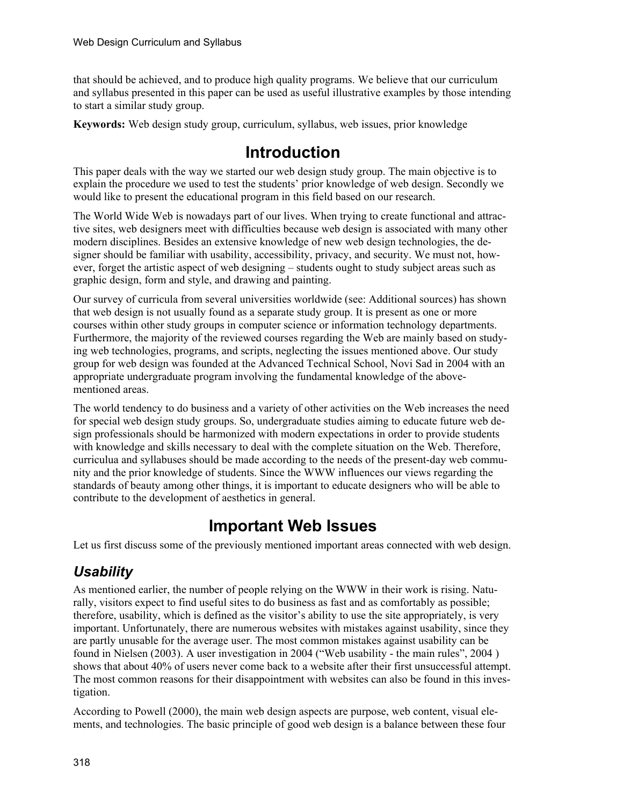that should be achieved, and to produce high quality programs. We believe that our curriculum and syllabus presented in this paper can be used as useful illustrative examples by those intending to start a similar study group.

**Keywords:** Web design study group, curriculum, syllabus, web issues, prior knowledge

# **Introduction**

This paper deals with the way we started our web design study group. The main objective is to explain the procedure we used to test the students' prior knowledge of web design. Secondly we would like to present the educational program in this field based on our research.

The World Wide Web is nowadays part of our lives. When trying to create functional and attractive sites, web designers meet with difficulties because web design is associated with many other modern disciplines. Besides an extensive knowledge of new web design technologies, the designer should be familiar with usability, accessibility, privacy, and security. We must not, however, forget the artistic aspect of web designing – students ought to study subject areas such as graphic design, form and style, and drawing and painting.

Our survey of curricula from several universities worldwide (see: Additional sources) has shown that web design is not usually found as a separate study group. It is present as one or more courses within other study groups in computer science or information technology departments. Furthermore, the majority of the reviewed courses regarding the Web are mainly based on studying web technologies, programs, and scripts, neglecting the issues mentioned above. Our study group for web design was founded at the Advanced Technical School, Novi Sad in 2004 with an appropriate undergraduate program involving the fundamental knowledge of the abovementioned areas.

The world tendency to do business and a variety of other activities on the Web increases the need for special web design study groups. So, undergraduate studies aiming to educate future web design professionals should be harmonized with modern expectations in order to provide students with knowledge and skills necessary to deal with the complete situation on the Web. Therefore, curriculua and syllabuses should be made according to the needs of the present-day web community and the prior knowledge of students. Since the WWW influences our views regarding the standards of beauty among other things, it is important to educate designers who will be able to contribute to the development of aesthetics in general.

# **Important Web Issues**

Let us first discuss some of the previously mentioned important areas connected with web design.

## *Usability*

As mentioned earlier, the number of people relying on the WWW in their work is rising. Naturally, visitors expect to find useful sites to do business as fast and as comfortably as possible; therefore, usability, which is defined as the visitor's ability to use the site appropriately, is very important. Unfortunately, there are numerous websites with mistakes against usability, since they are partly unusable for the average user. The most common mistakes against usability can be found in Nielsen (2003). A user investigation in 2004 ("Web usability - the main rules", 2004 ) shows that about 40% of users never come back to a website after their first unsuccessful attempt. The most common reasons for their disappointment with websites can also be found in this investigation.

According to Powell (2000), the main web design aspects are purpose, web content, visual elements, and technologies. The basic principle of good web design is a balance between these four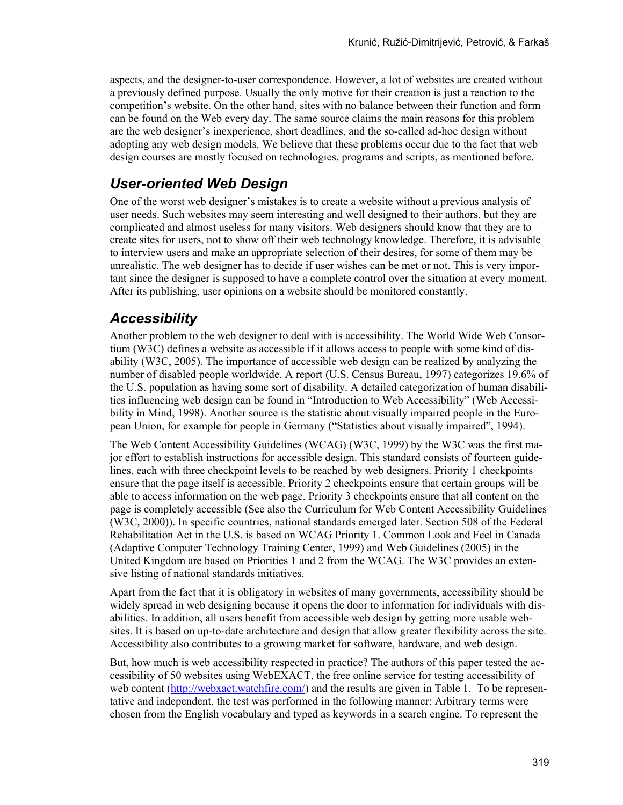aspects, and the designer-to-user correspondence. However, a lot of websites are created without a previously defined purpose. Usually the only motive for their creation is just a reaction to the competition's website. On the other hand, sites with no balance between their function and form can be found on the Web every day. The same source claims the main reasons for this problem are the web designer's inexperience, short deadlines, and the so-called ad-hoc design without adopting any web design models. We believe that these problems occur due to the fact that web design courses are mostly focused on technologies, programs and scripts, as mentioned before.

## *User-oriented Web Design*

One of the worst web designer's mistakes is to create a website without a previous analysis of user needs. Such websites may seem interesting and well designed to their authors, but they are complicated and almost useless for many visitors. Web designers should know that they are to create sites for users, not to show off their web technology knowledge. Therefore, it is advisable to interview users and make an appropriate selection of their desires, for some of them may be unrealistic. The web designer has to decide if user wishes can be met or not. This is very important since the designer is supposed to have a complete control over the situation at every moment. After its publishing, user opinions on a website should be monitored constantly.

### *Accessibility*

Another problem to the web designer to deal with is accessibility. The World Wide Web Consortium (W3C) defines a website as accessible if it allows access to people with some kind of disability (W3C, 2005). The importance of accessible web design can be realized by analyzing the number of disabled people worldwide. A report (U.S. Census Bureau, 1997) categorizes 19.6% of the U.S. population as having some sort of disability. A detailed categorization of human disabilities influencing web design can be found in "Introduction to Web Accessibility" (Web Accessibility in Mind, 1998). Another source is the statistic about visually impaired people in the European Union, for example for people in Germany ("Statistics about visually impaired", 1994).

The Web Content Accessibility Guidelines (WCAG) (W3C, 1999) by the W3C was the first major effort to establish instructions for accessible design. This standard consists of fourteen guidelines, each with three checkpoint levels to be reached by web designers. Priority 1 checkpoints ensure that the page itself is accessible. Priority 2 checkpoints ensure that certain groups will be able to access information on the web page. Priority 3 checkpoints ensure that all content on the page is completely accessible (See also the Curriculum for Web Content Accessibility Guidelines (W3C, 2000)). In specific countries, national standards emerged later. Section 508 of the Federal Rehabilitation Act in the U.S. is based on WCAG Priority 1. Common Look and Feel in Canada (Adaptive Computer Technology Training Center, 1999) and Web Guidelines (2005) in the United Kingdom are based on Priorities 1 and 2 from the WCAG. The W3C provides an extensive listing of national standards initiatives.

Apart from the fact that it is obligatory in websites of many governments, accessibility should be widely spread in web designing because it opens the door to information for individuals with disabilities. In addition, all users benefit from accessible web design by getting more usable websites. It is based on up-to-date architecture and design that allow greater flexibility across the site. Accessibility also contributes to a growing market for software, hardware, and web design.

But, how much is web accessibility respected in practice? The authors of this paper tested the accessibility of 50 websites using WebEXACT, the free online service for testing accessibility of web content (http://webxact.watchfire.com/) and the results are given in Table 1. To be representative and independent, the test was performed in the following manner: Arbitrary terms were chosen from the English vocabulary and typed as keywords in a search engine. To represent the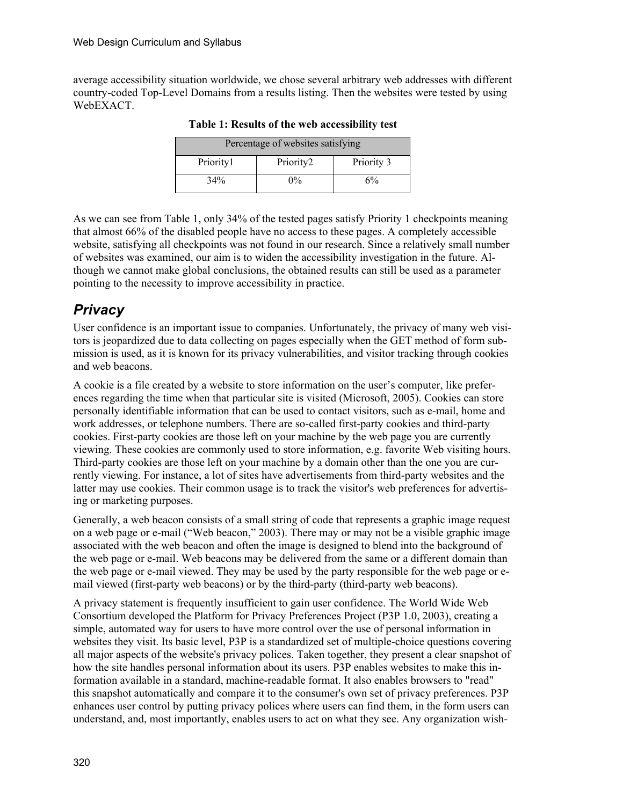average accessibility situation worldwide, we chose several arbitrary web addresses with different country-coded Top-Level Domains from a results listing. Then the websites were tested by using WebEXACT.

| Percentage of websites satisfying    |       |    |  |  |  |  |  |  |
|--------------------------------------|-------|----|--|--|--|--|--|--|
| Priority1<br>Priority2<br>Priority 3 |       |    |  |  |  |  |  |  |
| 34%                                  | $0\%$ | 6% |  |  |  |  |  |  |

**Table 1: Results of the web accessibility test** 

As we can see from Table 1, only 34% of the tested pages satisfy Priority 1 checkpoints meaning that almost 66% of the disabled people have no access to these pages. A completely accessible website, satisfying all checkpoints was not found in our research. Since a relatively small number of websites was examined, our aim is to widen the accessibility investigation in the future. Although we cannot make global conclusions, the obtained results can still be used as a parameter pointing to the necessity to improve accessibility in practice.

### *Privacy*

User confidence is an important issue to companies. Unfortunately, the privacy of many web visitors is jeopardized due to data collecting on pages especially when the GET method of form submission is used, as it is known for its privacy vulnerabilities, and visitor tracking through cookies and web beacons.

A cookie is a file created by a website to store information on the user's computer, like preferences regarding the time when that particular site is visited (Microsoft, 2005). Cookies can store personally identifiable information that can be used to contact visitors, such as e-mail, home and work addresses, or telephone numbers. There are so-called first-party cookies and third-party cookies. First-party cookies are those left on your machine by the web page you are currently viewing. These cookies are commonly used to store information, e.g. favorite Web visiting hours. Third-party cookies are those left on your machine by a domain other than the one you are currently viewing. For instance, a lot of sites have advertisements from third-party websites and the latter may use cookies. Their common usage is to track the visitor's web preferences for advertising or marketing purposes.

Generally, a web beacon consists of a small string of code that represents a graphic image request on a web page or e-mail ("Web beacon," 2003). There may or may not be a visible graphic image associated with the web beacon and often the image is designed to blend into the background of the web page or e-mail. Web beacons may be delivered from the same or a different domain than the web page or e-mail viewed. They may be used by the party responsible for the web page or email viewed (first-party web beacons) or by the third-party (third-party web beacons).

A privacy statement is frequently insufficient to gain user confidence. The World Wide Web Consortium developed the Platform for Privacy Preferences Project (P3P 1.0, 2003), creating a simple, automated way for users to have more control over the use of personal information in websites they visit. Its basic level, P3P is a standardized set of multiple-choice questions covering all major aspects of the website's privacy polices. Taken together, they present a clear snapshot of how the site handles personal information about its users. P3P enables websites to make this information available in a standard, machine-readable format. It also enables browsers to "read" this snapshot automatically and compare it to the consumer's own set of privacy preferences. P3P enhances user control by putting privacy polices where users can find them, in the form users can understand, and, most importantly, enables users to act on what they see. Any organization wish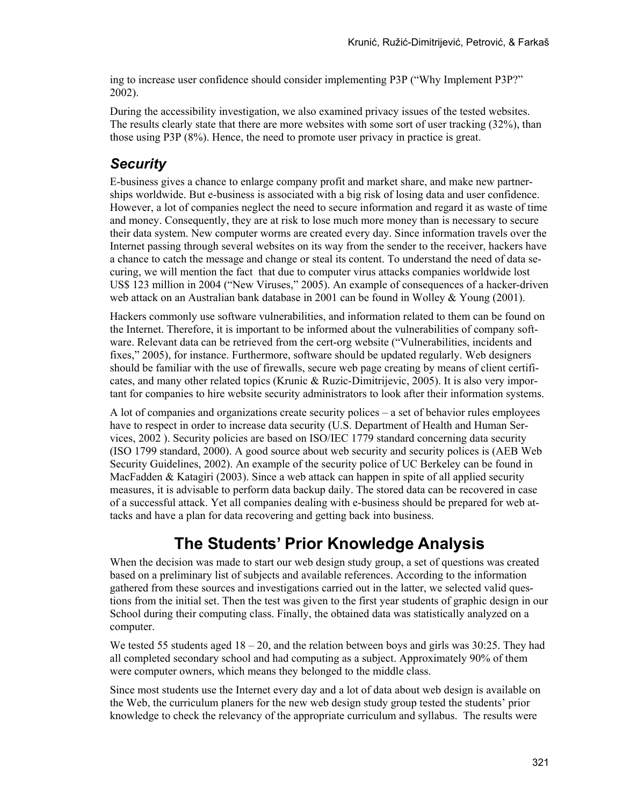ing to increase user confidence should consider implementing P3P ("Why Implement P3P?" 2002).

During the accessibility investigation, we also examined privacy issues of the tested websites. The results clearly state that there are more websites with some sort of user tracking (32%), than those using P3P (8%). Hence, the need to promote user privacy in practice is great.

## *Security*

E-business gives a chance to enlarge company profit and market share, and make new partnerships worldwide. But e-business is associated with a big risk of losing data and user confidence. However, a lot of companies neglect the need to secure information and regard it as waste of time and money. Consequently, they are at risk to lose much more money than is necessary to secure their data system. New computer worms are created every day. Since information travels over the Internet passing through several websites on its way from the sender to the receiver, hackers have a chance to catch the message and change or steal its content. To understand the need of data securing, we will mention the fact that due to computer virus attacks companies worldwide lost US\$ 123 million in 2004 ("New Viruses," 2005). An example of consequences of a hacker-driven web attack on an Australian bank database in 2001 can be found in Wolley & Young (2001).

Hackers commonly use software vulnerabilities, and information related to them can be found on the Internet. Therefore, it is important to be informed about the vulnerabilities of company software. Relevant data can be retrieved from the cert-org website ("Vulnerabilities, incidents and fixes," 2005), for instance. Furthermore, software should be updated regularly. Web designers should be familiar with the use of firewalls, secure web page creating by means of client certificates, and many other related topics (Krunic & Ruzic-Dimitrijevic, 2005). It is also very important for companies to hire website security administrators to look after their information systems.

A lot of companies and organizations create security polices – a set of behavior rules employees have to respect in order to increase data security (U.S. Department of Health and Human Services, 2002 ). Security policies are based on ISO/IEC 1779 standard concerning data security (ISO 1799 standard, 2000). A good source about web security and security polices is (AEB Web Security Guidelines, 2002). An example of the security police of UC Berkeley can be found in MacFadden & Katagiri (2003). Since a web attack can happen in spite of all applied security measures, it is advisable to perform data backup daily. The stored data can be recovered in case of a successful attack. Yet all companies dealing with e-business should be prepared for web attacks and have a plan for data recovering and getting back into business.

# **The Students' Prior Knowledge Analysis**

When the decision was made to start our web design study group, a set of questions was created based on a preliminary list of subjects and available references. According to the information gathered from these sources and investigations carried out in the latter, we selected valid questions from the initial set. Then the test was given to the first year students of graphic design in our School during their computing class. Finally, the obtained data was statistically analyzed on a computer.

We tested 55 students aged  $18 - 20$ , and the relation between boys and girls was 30:25. They had all completed secondary school and had computing as a subject. Approximately 90% of them were computer owners, which means they belonged to the middle class.

Since most students use the Internet every day and a lot of data about web design is available on the Web, the curriculum planers for the new web design study group tested the students' prior knowledge to check the relevancy of the appropriate curriculum and syllabus. The results were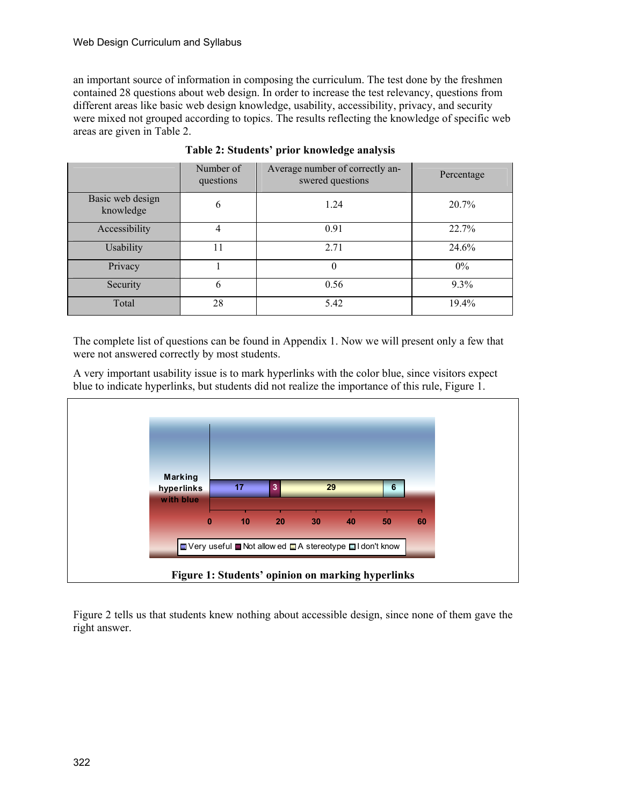an important source of information in composing the curriculum. The test done by the freshmen contained 28 questions about web design. In order to increase the test relevancy, questions from different areas like basic web design knowledge, usability, accessibility, privacy, and security were mixed not grouped according to topics. The results reflecting the knowledge of specific web areas are given in Table 2.

|                               | Number of<br>questions | Average number of correctly an-<br>swered questions | Percentage |
|-------------------------------|------------------------|-----------------------------------------------------|------------|
| Basic web design<br>knowledge | 6                      | 1.24                                                | 20.7%      |
| Accessibility                 | 4                      | 0.91                                                | 22.7%      |
| Usability                     | 11                     | 2.71                                                | 24.6%      |
| Privacy                       |                        | $\theta$                                            | $0\%$      |
| Security                      | 6                      | 0.56                                                | 9.3%       |
| Total                         | 28                     | 5.42                                                | 19.4%      |

**Table 2: Students' prior knowledge analysis** 

The complete list of questions can be found in Appendix 1. Now we will present only a few that were not answered correctly by most students.

A very important usability issue is to mark hyperlinks with the color blue, since visitors expect blue to indicate hyperlinks, but students did not realize the importance of this rule, Figure 1.



Figure 2 tells us that students knew nothing about accessible design, since none of them gave the right answer.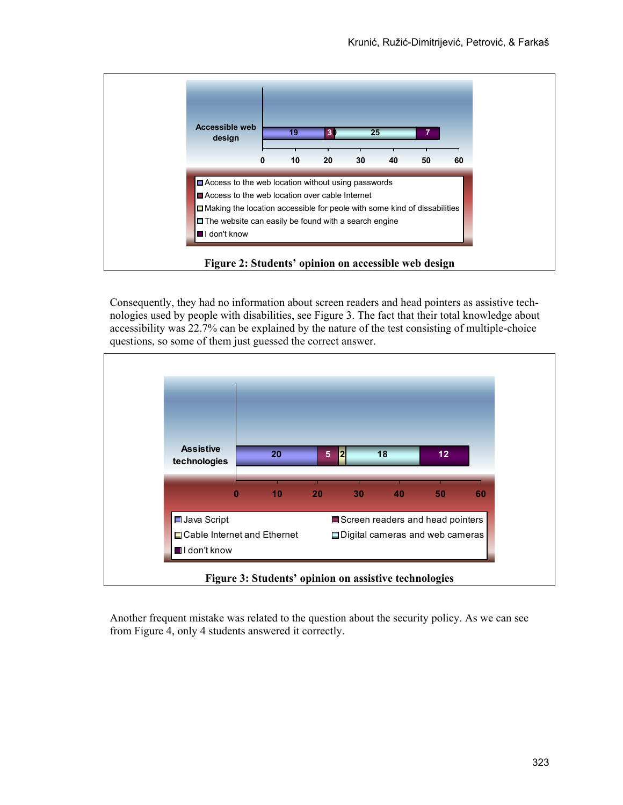

Consequently, they had no information about screen readers and head pointers as assistive technologies used by people with disabilities, see Figure 3. The fact that their total knowledge about accessibility was 22.7% can be explained by the nature of the test consisting of multiple-choice questions, so some of them just guessed the correct answer.



Another frequent mistake was related to the question about the security policy. As we can see from Figure 4, only 4 students answered it correctly.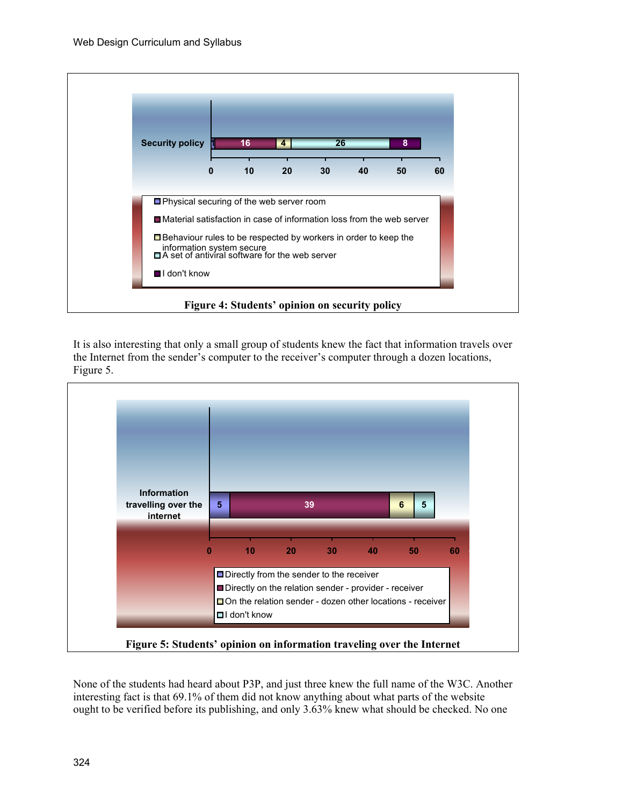

It is also interesting that only a small group of students knew the fact that information travels over the Internet from the sender's computer to the receiver's computer through a dozen locations, Figure 5.



None of the students had heard about P3P, and just three knew the full name of the W3C. Another interesting fact is that 69.1% of them did not know anything about what parts of the website ought to be verified before its publishing, and only 3.63% knew what should be checked. No one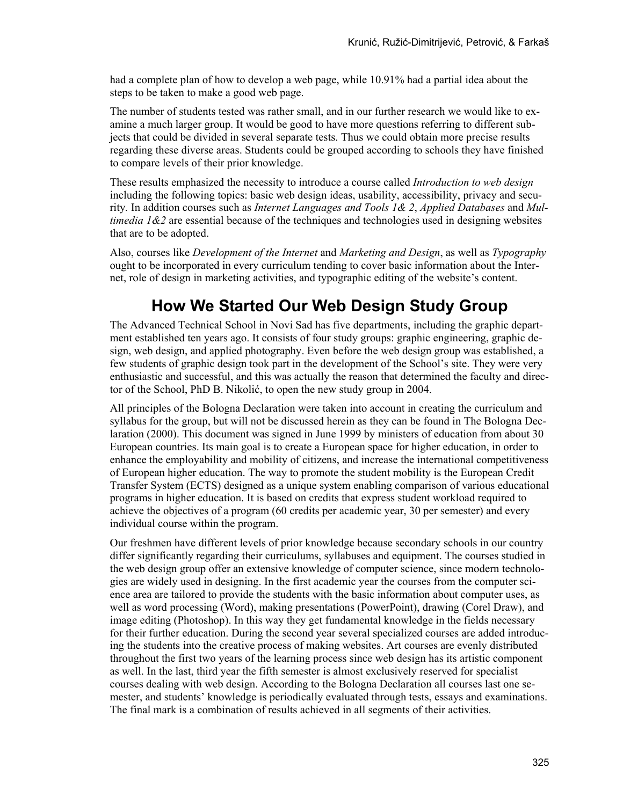had a complete plan of how to develop a web page, while 10.91% had a partial idea about the steps to be taken to make a good web page.

The number of students tested was rather small, and in our further research we would like to examine a much larger group. It would be good to have more questions referring to different subjects that could be divided in several separate tests. Thus we could obtain more precise results regarding these diverse areas. Students could be grouped according to schools they have finished to compare levels of their prior knowledge.

These results emphasized the necessity to introduce a course called *Introduction to web design* including the following topics: basic web design ideas, usability, accessibility, privacy and security*.* In addition courses such as *Internet Languages and Tools 1& 2*, *Applied Databases* and *Multimedia 1&2* are essential because of the techniques and technologies used in designing websites that are to be adopted.

Also, courses like *Development of the Internet* and *Marketing and Design*, as well as *Typography* ought to be incorporated in every curriculum tending to cover basic information about the Internet, role of design in marketing activities, and typographic editing of the website's content.

# **How We Started Our Web Design Study Group**

The Advanced Technical School in Novi Sad has five departments, including the graphic department established ten years ago. It consists of four study groups: graphic engineering, graphic design, web design, and applied photography. Even before the web design group was established, a few students of graphic design took part in the development of the School's site. They were very enthusiastic and successful, and this was actually the reason that determined the faculty and director of the School, PhD B. Nikolić, to open the new study group in 2004.

All principles of the Bologna Declaration were taken into account in creating the curriculum and syllabus for the group, but will not be discussed herein as they can be found in The Bologna Declaration (2000). This document was signed in June 1999 by ministers of education from about 30 European countries. Its main goal is to create a European space for higher education, in order to enhance the employability and mobility of citizens, and increase the international competitiveness of European higher education. The way to promote the student mobility is the European Credit Transfer System (ECTS) designed as a unique system enabling comparison of various educational programs in higher education. It is based on credits that express student workload required to achieve the objectives of a program (60 credits per academic year, 30 per semester) and every individual course within the program.

Our freshmen have different levels of prior knowledge because secondary schools in our country differ significantly regarding their curriculums, syllabuses and equipment. The courses studied in the web design group offer an extensive knowledge of computer science, since modern technologies are widely used in designing. In the first academic year the courses from the computer science area are tailored to provide the students with the basic information about computer uses, as well as word processing (Word), making presentations (PowerPoint), drawing (Corel Draw), and image editing (Photoshop). In this way they get fundamental knowledge in the fields necessary for their further education. During the second year several specialized courses are added introducing the students into the creative process of making websites. Art courses are evenly distributed throughout the first two years of the learning process since web design has its artistic component as well. In the last, third year the fifth semester is almost exclusively reserved for specialist courses dealing with web design. According to the Bologna Declaration all courses last one semester, and students' knowledge is periodically evaluated through tests, essays and examinations. The final mark is a combination of results achieved in all segments of their activities.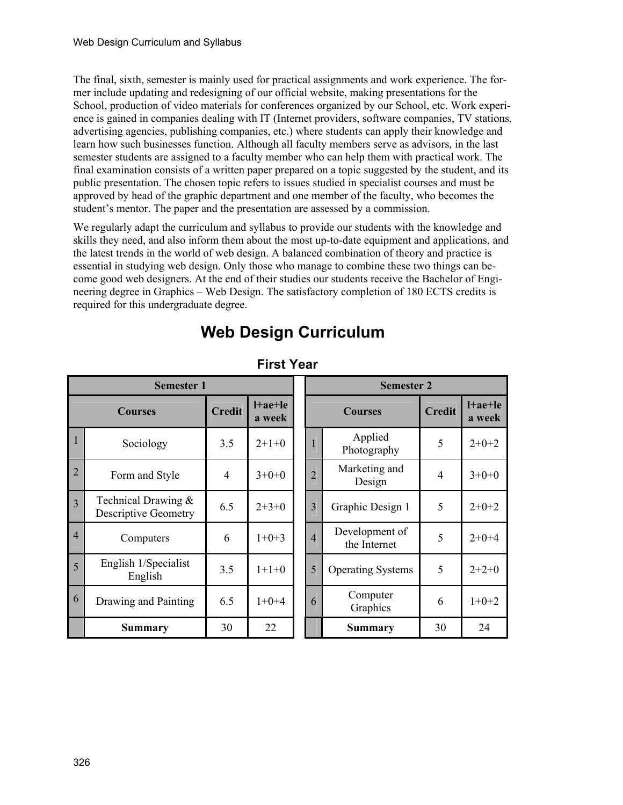The final, sixth, semester is mainly used for practical assignments and work experience. The former include updating and redesigning of our official website, making presentations for the School, production of video materials for conferences organized by our School, etc. Work experience is gained in companies dealing with IT (Internet providers, software companies, TV stations, advertising agencies, publishing companies, etc.) where students can apply their knowledge and learn how such businesses function. Although all faculty members serve as advisors, in the last semester students are assigned to a faculty member who can help them with practical work. The final examination consists of a written paper prepared on a topic suggested by the student, and its public presentation. The chosen topic refers to issues studied in specialist courses and must be approved by head of the graphic department and one member of the faculty, who becomes the student's mentor. The paper and the presentation are assessed by a commission.

We regularly adapt the curriculum and syllabus to provide our students with the knowledge and skills they need, and also inform them about the most up-to-date equipment and applications, and the latest trends in the world of web design. A balanced combination of theory and practice is essential in studying web design. Only those who manage to combine these two things can become good web designers. At the end of their studies our students receive the Bachelor of Engineering degree in Graphics – Web Design. The satisfactory completion of 180 ECTS credits is required for this undergraduate degree.

# **Web Design Curriculum**

| <b>Semester 1</b> |                                                       |                |                           |                | <b>Semester 2</b>              |                |                     |
|-------------------|-------------------------------------------------------|----------------|---------------------------|----------------|--------------------------------|----------------|---------------------|
| <b>Courses</b>    |                                                       | <b>Credit</b>  | $l + a e + l e$<br>a week |                | <b>Courses</b>                 | <b>Credit</b>  | $l+ae+le$<br>a week |
|                   | Sociology                                             | 3.5            | $2+1+0$                   | $\mathbf{1}$   | Applied<br>Photography         | 5              | $2+0+2$             |
| $\overline{2}$    | Form and Style                                        | $\overline{4}$ | $3+0+0$                   | $\overline{2}$ | Marketing and<br>Design        | $\overline{4}$ | $3+0+0$             |
| $\overline{3}$    | Technical Drawing $\&$<br><b>Descriptive Geometry</b> | 6.5            | $2+3+0$                   | 3              | Graphic Design 1               | 5              | $2+0+2$             |
| $\overline{4}$    | Computers                                             | 6              | $1+0+3$                   | $\overline{4}$ | Development of<br>the Internet | 5              | $2+0+4$             |
| 5                 | English 1/Specialist<br>English                       | 3.5            | $1+1+0$                   | 5              | <b>Operating Systems</b>       | 5              | $2+2+0$             |
| 6                 | Drawing and Painting                                  | 6.5            | $1+0+4$                   | 6              | Computer<br>Graphics           | 6              | $1+0+2$             |
|                   | <b>Summary</b>                                        | 30             | 22                        |                | <b>Summary</b>                 | 30             | 24                  |

### **First Year**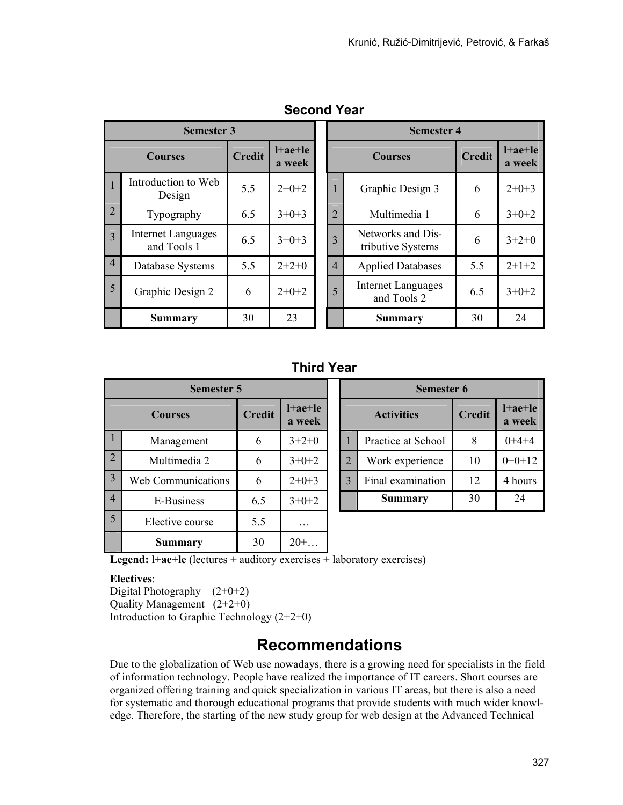| <b>Semester 3</b> |                                          |               |                     | <b>Semester 4</b>                             |                                        |        |                           |
|-------------------|------------------------------------------|---------------|---------------------|-----------------------------------------------|----------------------------------------|--------|---------------------------|
|                   | <b>Courses</b>                           | <b>Credit</b> | $l+ae+le$<br>a week | <b>Courses</b>                                |                                        | Credit | $l + a e + l e$<br>a week |
|                   | Introduction to Web<br>Design            | 5.5           | $2+0+2$             | 1                                             | Graphic Design 3                       | 6      | $2+0+3$                   |
| $\overline{2}$    | Typography                               | 6.5           | $3+0+3$             | $\overline{2}$<br>Multimedia 1                |                                        | 6      | $3+0+2$                   |
| 3                 | <b>Internet Languages</b><br>and Tools 1 | 6.5           | $3+0+3$             | 3                                             | Networks and Dis-<br>tributive Systems | 6      | $3+2+0$                   |
| $\overline{4}$    | Database Systems                         | 5.5           | $2+2+0$             | $\overline{4}$                                | <b>Applied Databases</b>               | 5.5    | $2+1+2$                   |
| 5                 | Graphic Design 2                         | 6             | $2+0+2$             | <b>Internet Languages</b><br>5<br>and Tools 2 |                                        | 6.5    | $3+0+2$                   |
|                   | <b>Summary</b>                           | 30            | 23                  |                                               | <b>Summary</b>                         | 30     | 24                        |

### **Second Year**

### **Third Year**

| <b>Semester 5</b> |                           |               |                           | Semester 6        |                    |               |                           |
|-------------------|---------------------------|---------------|---------------------------|-------------------|--------------------|---------------|---------------------------|
| <b>Courses</b>    |                           | <b>Credit</b> | $l + a e + l e$<br>a week | <b>Activities</b> |                    | <b>Credit</b> | $l + a e + l e$<br>a week |
|                   | Management                | 6             | $3+2+0$                   |                   | Practice at School | 8             | $0+4+4$                   |
| $\overline{2}$    | Multimedia 2              | 6             | $3+0+2$                   | $\overline{2}$    | Work experience    | 10            | $0+0+12$                  |
| $\overline{3}$    | <b>Web Communications</b> | 6             | $2+0+3$                   | 3                 | Final examination  | 12            | 4 hours                   |
| $\overline{4}$    | E-Business                | 6.5           | $3+0+2$                   |                   | <b>Summary</b>     | 30            | 24                        |
| $\overline{5}$    | Elective course           | 5.5           | .                         |                   |                    |               |                           |
|                   | Summary                   | 30            | $20+$                     |                   |                    |               |                           |

|                   |              | <b>Semester 6</b>  |               |                           |
|-------------------|--------------|--------------------|---------------|---------------------------|
| l+ae+le<br>a week |              | <b>Activities</b>  | <b>Credit</b> | $l + a e + l e$<br>a week |
| $3+2+0$           |              | Practice at School | 8             | $0+4+4$                   |
| $3+0+2$           | 2            | Work experience    | 10            | $0+0+12$                  |
| $2+0+3$           | $\mathbf{3}$ | Final examination  | 12            | 4 hours                   |
| $3+0+2$           |              | Summary            | 30            | 24                        |

**Legend:**  $I + ae + le$  (lectures  $+$  auditory exercises  $+$  laboratory exercises)

#### **Electives**:

Digital Photography  $(2+0+2)$ Quality Management (2+2+0) Introduction to Graphic Technology (2+2+0)

# **Recommendations**

Due to the globalization of Web use nowadays, there is a growing need for specialists in the field of information technology. People have realized the importance of IT careers. Short courses are organized offering training and quick specialization in various IT areas, but there is also a need for systematic and thorough educational programs that provide students with much wider knowledge. Therefore, the starting of the new study group for web design at the Advanced Technical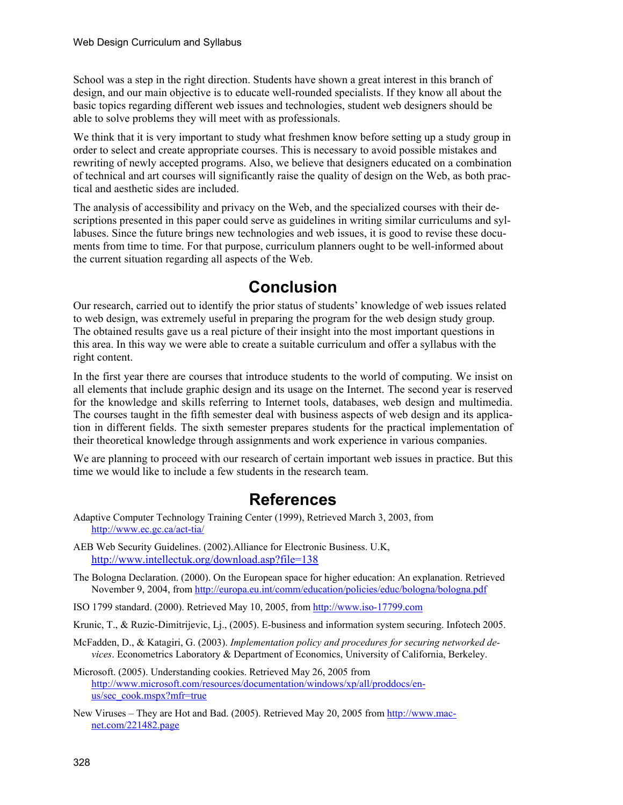School was a step in the right direction. Students have shown a great interest in this branch of design, and our main objective is to educate well-rounded specialists. If they know all about the basic topics regarding different web issues and technologies, student web designers should be able to solve problems they will meet with as professionals.

We think that it is very important to study what freshmen know before setting up a study group in order to select and create appropriate courses. This is necessary to avoid possible mistakes and rewriting of newly accepted programs. Also, we believe that designers educated on a combination of technical and art courses will significantly raise the quality of design on the Web, as both practical and aesthetic sides are included.

The analysis of accessibility and privacy on the Web, and the specialized courses with their descriptions presented in this paper could serve as guidelines in writing similar curriculums and syllabuses. Since the future brings new technologies and web issues, it is good to revise these documents from time to time. For that purpose, curriculum planners ought to be well-informed about the current situation regarding all aspects of the Web.

## **Conclusion**

Our research, carried out to identify the prior status of students' knowledge of web issues related to web design, was extremely useful in preparing the program for the web design study group. The obtained results gave us a real picture of their insight into the most important questions in this area. In this way we were able to create a suitable curriculum and offer a syllabus with the right content.

In the first year there are courses that introduce students to the world of computing. We insist on all elements that include graphic design and its usage on the Internet. The second year is reserved for the knowledge and skills referring to Internet tools, databases, web design and multimedia. The courses taught in the fifth semester deal with business aspects of web design and its application in different fields. The sixth semester prepares students for the practical implementation of their theoretical knowledge through assignments and work experience in various companies.

We are planning to proceed with our research of certain important web issues in practice. But this time we would like to include a few students in the research team.

# **References**

- Adaptive Computer Technology Training Center (1999), Retrieved March 3, 2003, from http://www.ec.gc.ca/act-tia/
- AEB Web Security Guidelines. (2002).Alliance for Electronic Business. U.K, http://www.intellectuk.org/download.asp?file=138
- The Bologna Declaration. (2000). On the European space for higher education: An explanation. Retrieved November 9, 2004, from http://europa.eu.int/comm/education/policies/educ/bologna/bologna.pdf
- ISO 1799 standard. (2000). Retrieved May 10, 2005, from http://www.iso-17799.com

Krunic, T., & Ruzic-Dimitrijevic, Lj., (2005). E-business and information system securing. Infotech 2005.

- McFadden, D., & Katagiri, G. (2003). *Implementation policy and procedures for securing networked devices*. Econometrics Laboratory & Department of Economics, University of California, Berkeley.
- Microsoft. (2005). Understanding cookies. Retrieved May 26, 2005 from http://www.microsoft.com/resources/documentation/windows/xp/all/proddocs/enus/sec\_cook.mspx?mfr=true
- New Viruses They are Hot and Bad. (2005). Retrieved May 20, 2005 from http://www.macnet.com/221482.page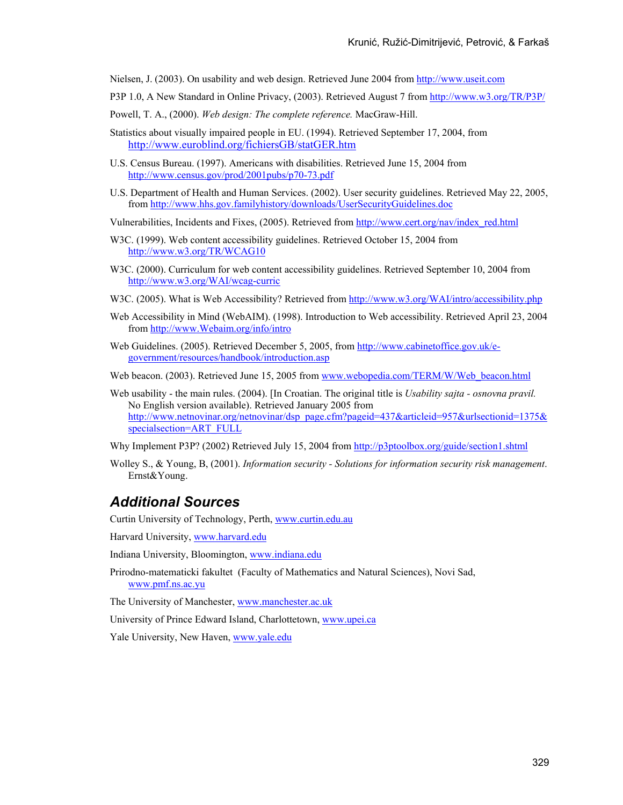Nielsen, J. (2003). On usability and web design. Retrieved June 2004 from http://www.useit.com

- P3P 1.0, A New Standard in Online Privacy, (2003). Retrieved August 7 from http://www.w3.org/TR/P3P/
- Powell, T. A., (2000). *Web design: The complete reference.* MacGraw-Hill.
- Statistics about visually impaired people in EU. (1994). Retrieved September 17, 2004, from http://www.euroblind.org/fichiersGB/statGER.htm
- U.S. Census Bureau. (1997). Americans with disabilities. Retrieved June 15, 2004 from http://www.census.gov/prod/2001pubs/p70-73.pdf
- U.S. Department of Health and Human Services. (2002). User security guidelines. Retrieved May 22, 2005, from http://www.hhs.gov.familyhistory/downloads/UserSecurityGuidelines.doc

Vulnerabilities, Incidents and Fixes, (2005). Retrieved from http://www.cert.org/nav/index\_red.html

- W3C. (1999). Web content accessibility guidelines. Retrieved October 15, 2004 from http://www.w3.org/TR/WCAG10
- W3C. (2000). Curriculum for web content accessibility guidelines. Retrieved September 10, 2004 from http://www.w3.org/WAI/wcag-curric
- W3C. (2005). What is Web Accessibility? Retrieved from http://www.w3.org/WAI/intro/accessibility.php
- Web Accessibility in Mind (WebAIM). (1998). Introduction to Web accessibility. Retrieved April 23, 2004 from http://www.Webaim.org/info/intro
- Web Guidelines. (2005). Retrieved December 5, 2005, from http://www.cabinetoffice.gov.uk/egovernment/resources/handbook/introduction.asp
- Web beacon. (2003). Retrieved June 15, 2005 from www.webopedia.com/TERM/W/Web beacon.html
- Web usability the main rules. (2004). [In Croatian. The original title is *Usability sajta osnovna pravil.*  No English version available). Retrieved January 2005 from http://www.netnovinar.org/netnovinar/dsp\_page.cfm?pageid=437&articleid=957&urlsectionid=1375& specialsection=ART\_FULL
- Why Implement P3P? (2002) Retrieved July 15, 2004 from http://p3ptoolbox.org/guide/section1.shtml
- Wolley S., & Young, B, (2001). *Information security Solutions for information security risk management*. Ernst&Young.

#### *Additional Sources*

Curtin University of Technology, Perth, www.curtin.edu.au

Harvard University, www.harvard.edu

Indiana University, Bloomington, www.indiana.edu

Prirodno-matematicki fakultet (Faculty of Mathematics and Natural Sciences), Novi Sad, www.pmf.ns.ac.yu

The University of Manchester, www.manchester.ac.uk

University of Prince Edward Island, Charlottetown, www.upei.ca

Yale University, New Haven, www.yale.edu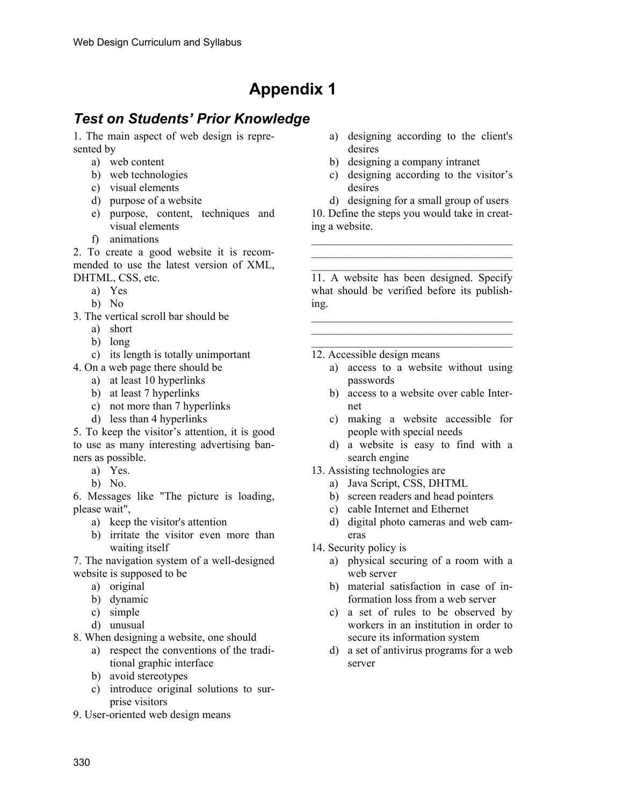# **Appendix 1**

## *Test on Students' Prior Knowledge*

1. The main aspect of web design is represented by

- a) web content
- b) web technologies
- c) visual elements
- d) purpose of a website
- e) purpose, content, techniques and visual elements
- f) animations

2. To create a good website it is recommended to use the latest version of XML, DHTML, CSS, etc.

- a) Yes
- b) No
- 3. The vertical scroll bar should be
	- a) short
		- b) long
	- c) its length is totally unimportant
- 4. On a web page there should be
	- a) at least 10 hyperlinks
	- b) at least 7 hyperlinks
	- c) not more than 7 hyperlinks
	- d) less than 4 hyperlinks

5. To keep the visitor's attention, it is good to use as many interesting advertising banners as possible.

- a) Yes.
- b) No.

6. Messages like "The picture is loading, please wait",

- a) keep the visitor's attention
- b) irritate the visitor even more than waiting itself

7. The navigation system of a well-designed website is supposed to be

- a) original
- b) dynamic
- c) simple
- d) unusual

8. When designing a website, one should

- a) respect the conventions of the traditional graphic interface
- b) avoid stereotypes
- c) introduce original solutions to surprise visitors
- 9. User-oriented web design means
- a) designing according to the client's desires
- b) designing a company intranet
- c) designing according to the visitor's desires

d) designing for a small group of users 10. Define the steps you would take in creating a website.

 $\mathcal{L}_\text{max}$  $\mathcal{L}_\text{max}$ \_\_\_\_\_\_\_\_\_\_\_\_\_\_\_\_\_\_\_\_\_\_\_\_\_\_\_\_\_\_\_\_\_\_\_\_

11. A website has been designed. Specify what should be verified before its publishing.

 $\mathcal{L}_\text{max}$  $\mathcal{L}_\text{max}$ 

- 12. Accessible design means
	- a) access to a website without using passwords
	- b) access to a website over cable Internet
	- c) making a website accessible for people with special needs
	- d) a website is easy to find with a search engine
- 13. Assisting technologies are
	- a) Java Script, CSS, DHTML
	- b) screen readers and head pointers
	- c) cable Internet and Ethernet
	- d) digital photo cameras and web cameras
- 14. Security policy is
	- a) physical securing of a room with a web server
	- b) material satisfaction in case of information loss from a web server
	- c) a set of rules to be observed by workers in an institution in order to secure its information system
	- d) a set of antivirus programs for a web server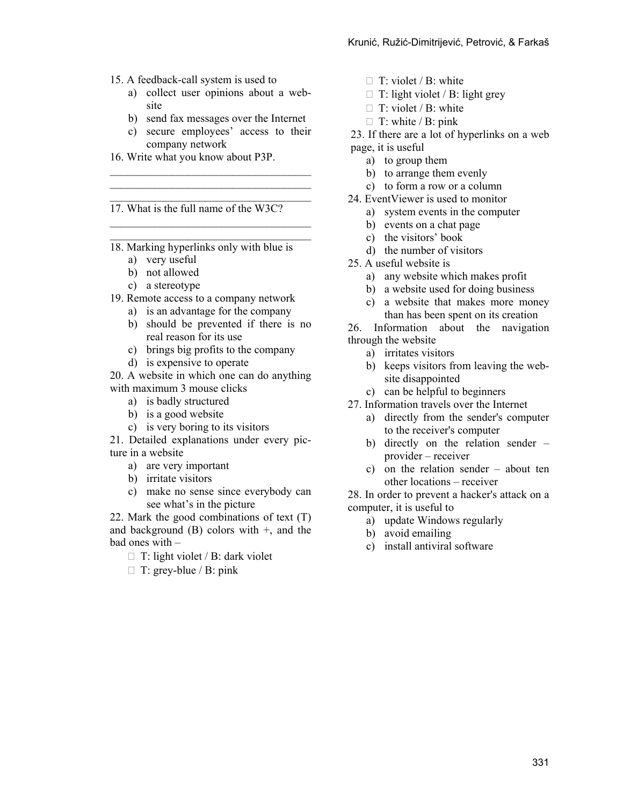- 15. A feedback-call system is used to
	- a) collect user opinions about a website
	- b) send fax messages over the Internet
	- c) secure employees' access to their company network

 $\mathcal{L}_\text{max}$  $\mathcal{L}_\text{max}$ 

 $\mathcal{L}_\text{max}$  $\mathcal{L}_\text{max}$ 

16. Write what you know about P3P.

17. What is the full name of the W3C?

18. Marking hyperlinks only with blue is

- a) very useful
- b) not allowed
- c) a stereotype
- 19. Remote access to a company network
	- a) is an advantage for the company
	- b) should be prevented if there is no real reason for its use
	- c) brings big profits to the company
	- d) is expensive to operate

20. A website in which one can do anything with maximum 3 mouse clicks

- a) is badly structured
- b) is a good website
- c) is very boring to its visitors

21. Detailed explanations under every picture in a website

- a) are very important
- b) irritate visitors
- c) make no sense since everybody can see what's in the picture

22. Mark the good combinations of text (T) and background  $(B)$  colors with  $+$ , and the bad ones with –

- $\Box$  T: light violet / B: dark violet
- $\Box$  T: grey-blue / B: pink
- $\Box$  T: violet / B: white
- $\Box$  T: light violet / B: light grey
- $\Box$  T: violet / B: white
- $\Box$  T: white / B: pink

23. If there are a lot of hyperlinks on a web page, it is useful

- a) to group them
- b) to arrange them evenly
- c) to form a row or a column
- 24. EventViewer is used to monitor
	- a) system events in the computer
	- b) events on a chat page
	- c) the visitors' book
	- d) the number of visitors
- 25. A useful website is
	- a) any website which makes profit
	- b) a website used for doing business
	- c) a website that makes more money than has been spent on its creation

26. Information about the navigation through the website

- a) irritates visitors
- b) keeps visitors from leaving the website disappointed
- c) can be helpful to beginners
- 27. Information travels over the Internet
	- a) directly from the sender's computer to the receiver's computer
	- b) directly on the relation sender provider – receiver
	- c) on the relation sender about ten other locations – receiver

28. In order to prevent a hacker's attack on a computer, it is useful to

- a) update Windows regularly
- b) avoid emailing
- c) install antiviral software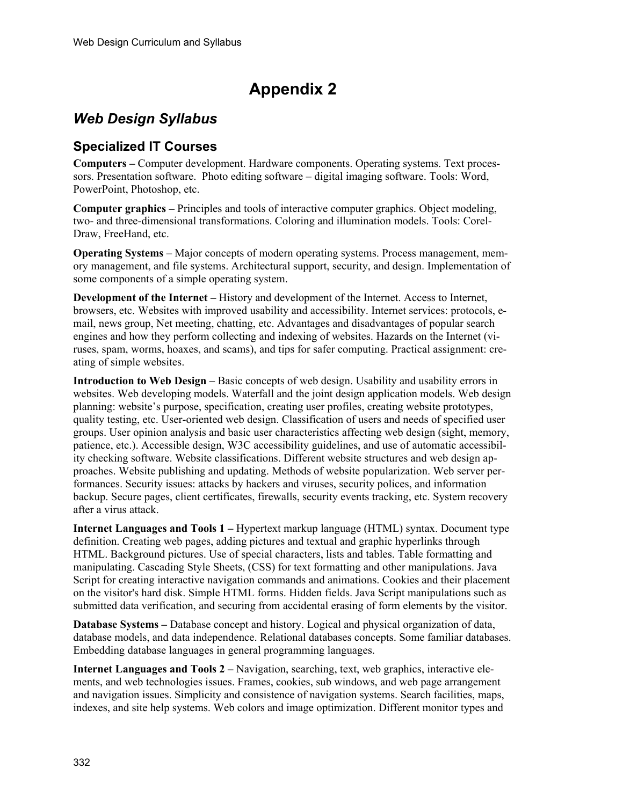# **Appendix 2**

## *Web Design Syllabus*

### **Specialized IT Courses**

**Computers –** Computer development. Hardware components. Operating systems. Text processors. Presentation software. Photo editing software – digital imaging software. Tools: Word, PowerPoint, Photoshop, etc.

**Computer graphics –** Principles and tools of interactive computer graphics. Object modeling, two- and three-dimensional transformations. Coloring and illumination models. Tools: Corel-Draw, FreeHand, etc.

**Operating Systems** – Major concepts of modern operating systems. Process management, memory management, and file systems. Architectural support, security, and design. Implementation of some components of a simple operating system.

**Development of the Internet –** History and development of the Internet. Access to Internet, browsers, etc. Websites with improved usability and accessibility. Internet services: protocols, email, news group, Net meeting, chatting, etc. Advantages and disadvantages of popular search engines and how they perform collecting and indexing of websites. Hazards on the Internet (viruses, spam, worms, hoaxes, and scams), and tips for safer computing. Practical assignment: creating of simple websites.

**Introduction to Web Design – Basic concepts of web design. Usability and usability errors in** websites. Web developing models. Waterfall and the joint design application models. Web design planning: website's purpose, specification, creating user profiles, creating website prototypes, quality testing, etc. User-oriented web design. Classification of users and needs of specified user groups. User opinion analysis and basic user characteristics affecting web design (sight, memory, patience, etc.). Accessible design, W3C accessibility guidelines, and use of automatic accessibility checking software. Website classifications. Different website structures and web design approaches. Website publishing and updating. Methods of website popularization. Web server performances. Security issues: attacks by hackers and viruses, security polices, and information backup. Secure pages, client certificates, firewalls, security events tracking, etc. System recovery after a virus attack.

**Internet Languages and Tools 1 –** Hypertext markup language (HTML) syntax. Document type definition. Creating web pages, adding pictures and textual and graphic hyperlinks through HTML. Background pictures. Use of special characters, lists and tables. Table formatting and manipulating. Cascading Style Sheets, (CSS) for text formatting and other manipulations. Java Script for creating interactive navigation commands and animations. Cookies and their placement on the visitor's hard disk. Simple HTML forms. Hidden fields. Java Script manipulations such as submitted data verification, and securing from accidental erasing of form elements by the visitor.

**Database Systems –** Database concept and history. Logical and physical organization of data, database models, and data independence. Relational databases concepts. Some familiar databases. Embedding database languages in general programming languages.

**Internet Languages and Tools 2 –** Navigation, searching, text, web graphics, interactive elements, and web technologies issues. Frames, cookies, sub windows, and web page arrangement and navigation issues. Simplicity and consistence of navigation systems. Search facilities, maps, indexes, and site help systems. Web colors and image optimization. Different monitor types and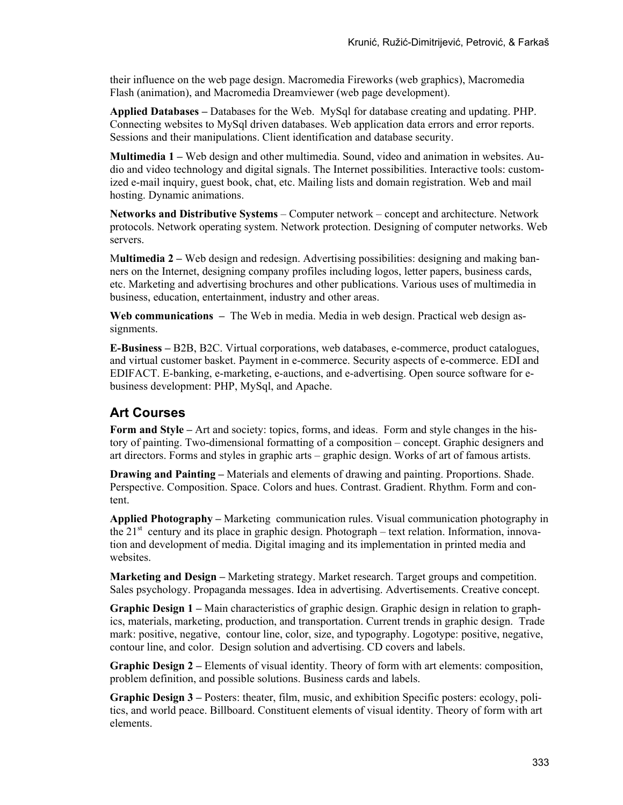their influence on the web page design. Macromedia Fireworks (web graphics), Macromedia Flash (animation), and Macromedia Dreamviewer (web page development).

**Applied Databases –** Databases for the Web. MySql for database creating and updating. PHP. Connecting websites to MySql driven databases. Web application data errors and error reports. Sessions and their manipulations. Client identification and database security.

**Multimedia 1 –** Web design and other multimedia. Sound, video and animation in websites. Audio and video technology and digital signals. The Internet possibilities. Interactive tools: customized e-mail inquiry, guest book, chat, etc. Mailing lists and domain registration. Web and mail hosting. Dynamic animations.

**Networks and Distributive Systems** – Computer network – concept and architecture. Network protocols. Network operating system. Network protection. Designing of computer networks. Web servers.

M**ultimedia 2 –** Web design and redesign. Advertising possibilities: designing and making banners on the Internet, designing company profiles including logos, letter papers, business cards, etc. Marketing and advertising brochures and other publications. Various uses of multimedia in business, education, entertainment, industry and other areas.

**Web communications –** The Web in media. Media in web design. Practical web design assignments.

**E-Business –** B2B, B2C. Virtual corporations, web databases, e-commerce, product catalogues, and virtual customer basket. Payment in e-commerce. Security aspects of e-commerce. EDI and EDIFACT. E-banking, e-marketing, e-auctions, and e-advertising. Open source software for ebusiness development: PHP, MySql, and Apache.

### **Art Courses**

**Form and Style –** Art and society: topics, forms, and ideas. Form and style changes in the history of painting. Two-dimensional formatting of a composition – concept. Graphic designers and art directors. Forms and styles in graphic arts – graphic design. Works of art of famous artists.

**Drawing and Painting –** Materials and elements of drawing and painting. Proportions. Shade. Perspective. Composition. Space. Colors and hues. Contrast. Gradient. Rhythm. Form and content.

**Applied Photography –** Marketing communication rules. Visual communication photography in the  $21<sup>st</sup>$  century and its place in graphic design. Photograph – text relation. Information, innovation and development of media. Digital imaging and its implementation in printed media and websites.

**Marketing and Design –** Marketing strategy. Market research. Target groups and competition. Sales psychology. Propaganda messages. Idea in advertising. Advertisements. Creative concept.

**Graphic Design 1 –** Main characteristics of graphic design. Graphic design in relation to graphics, materials, marketing, production, and transportation. Current trends in graphic design. Trade mark: positive, negative, contour line, color, size, and typography. Logotype: positive, negative, contour line, and color. Design solution and advertising. CD covers and labels.

**Graphic Design 2 –** Elements of visual identity. Theory of form with art elements: composition, problem definition, and possible solutions. Business cards and labels.

**Graphic Design 3 –** Posters: theater, film, music, and exhibition Specific posters: ecology, politics, and world peace. Billboard. Constituent elements of visual identity. Theory of form with art elements.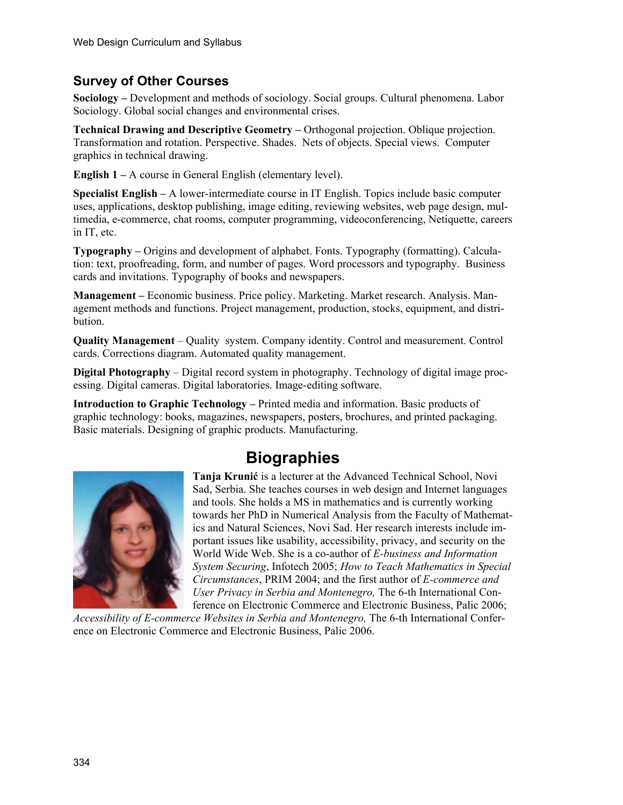### **Survey of Other Courses**

**Sociology –** Development and methods of sociology. Social groups. Cultural phenomena. Labor Sociology. Global social changes and environmental crises.

**Technical Drawing and Descriptive Geometry –** Orthogonal projection. Oblique projection. Transformation and rotation. Perspective. Shades. Nets of objects. Special views. Computer graphics in technical drawing.

**English 1 – A course in General English (elementary level).** 

**Specialist English –** A lower-intermediate course in IT English. Topics include basic computer uses, applications, desktop publishing, image editing, reviewing websites, web page design, multimedia, e-commerce, chat rooms, computer programming, videoconferencing, Netiquette, careers in IT, etc.

**Typography –** Origins and development of alphabet. Fonts. Typography (formatting). Calculation: text, proofreading, form, and number of pages. Word processors and typography. Business cards and invitations. Typography of books and newspapers.

**Management –** Economic business. Price policy. Marketing. Market research. Analysis. Management methods and functions. Project management, production, stocks, equipment, and distribution.

**Quality Management** – Quality system. Company identity. Control and measurement. Control cards. Corrections diagram. Automated quality management.

**Digital Photography** – Digital record system in photography. Technology of digital image processing. Digital cameras. Digital laboratories. Image-editing software.

**Introduction to Graphic Technology –** Printed media and information. Basic products of graphic technology: books, magazines, newspapers, posters, brochures, and printed packaging. Basic materials. Designing of graphic products. Manufacturing.

# **Biographies**



**Tanja Krunić** is a lecturer at the Advanced Technical School, Novi Sad, Serbia. She teaches courses in web design and Internet languages and tools. She holds a MS in mathematics and is currently working towards her PhD in Numerical Analysis from the Faculty of Mathematics and Natural Sciences, Novi Sad. Her research interests include important issues like usability, accessibility, privacy, and security on the World Wide Web. She is a co-author of *E-business and Information System Securing*, Infotech 2005; *How to Teach Mathematics in Special Circumstances*, PRIM 2004; and the first author of *E-commerce and User Privacy in Serbia and Montenegro,* The 6-th International Conference on Electronic Commerce and Electronic Business, Palic 2006;

*Accessibility of E-commerce Websites in Serbia and Montenegro,* The 6-th International Conference on Electronic Commerce and Electronic Business, Palic 2006.